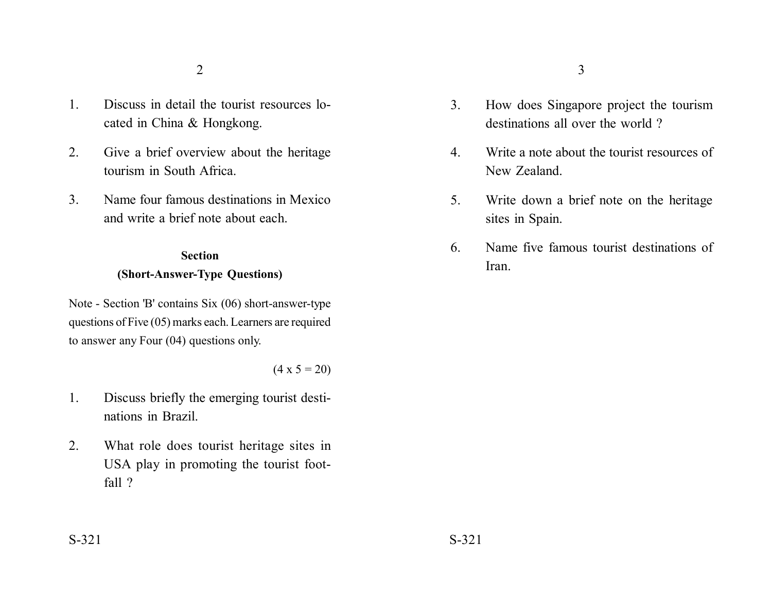- 1. Discuss in detail the tourist resources located in China & Hongkong.
- 2. Give a brief overview about the heritage tourism in South Africa.
- 3. Name four famous destinations in Mexico and write a brief note about each.

## **Section (Short-Answer-Type Questions)**

Note - Section 'B' contains Six (06) short-answer-type questions of Five (05) marks each. Learners are required to answer any Four (04) questions only.

 $(4 \times 5 = 20)$ 

- 1. Discuss briefly the emerging tourist destinations in Brazil.
- 2. What role does tourist heritage sites in USA play in promoting the tourist footfall ?
- 3. How does Singapore project the tourism destinations all over the world ?
- 4. Write a note about the tourist resources of New Zealand.
- 5. Write down a brief note on the heritage sites in Spain.
- 6. Name five famous tourist destinations of Iran.